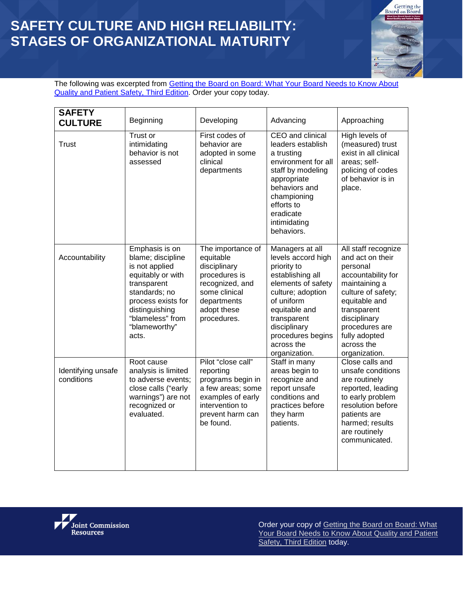## **SAFETY CULTURE AND HIGH RELIABILITY: STAGES OF ORGANIZATIONAL MATURITY**



The following was excerpted from **Getting the Board on Board: What Your Board Needs to Know About** [Quality and Patient Safety, Third Edition.](http://www.jcrinc.com/getting-the-board-on-board-what-your-board-needs-to-know-about-quality-and-patient-safety-third-edition/) Order your copy today.

| <b>SAFETY</b><br><b>CULTURE</b>  | Beginning                                                                                                                                                                                        | Developing                                                                                                                                         | Advancing                                                                                                                                                                                                                             | Approaching                                                                                                                                                                                                                        |
|----------------------------------|--------------------------------------------------------------------------------------------------------------------------------------------------------------------------------------------------|----------------------------------------------------------------------------------------------------------------------------------------------------|---------------------------------------------------------------------------------------------------------------------------------------------------------------------------------------------------------------------------------------|------------------------------------------------------------------------------------------------------------------------------------------------------------------------------------------------------------------------------------|
| <b>Trust</b>                     | Trust or<br>intimidating<br>behavior is not<br>assessed                                                                                                                                          | First codes of<br>behavior are<br>adopted in some<br>clinical<br>departments                                                                       | CEO and clinical<br>leaders establish<br>a trusting<br>environment for all<br>staff by modeling<br>appropriate<br>behaviors and<br>championing<br>efforts to<br>eradicate<br>intimidating<br>behaviors.                               | High levels of<br>(measured) trust<br>exist in all clinical<br>areas; self-<br>policing of codes<br>of behavior is in<br>place.                                                                                                    |
| Accountability                   | Emphasis is on<br>blame; discipline<br>is not applied<br>equitably or with<br>transparent<br>standards; no<br>process exists for<br>distinguishing<br>"blameless" from<br>"blameworthy"<br>acts. | The importance of<br>equitable<br>disciplinary<br>procedures is<br>recognized, and<br>some clinical<br>departments<br>adopt these<br>procedures.   | Managers at all<br>levels accord high<br>priority to<br>establishing all<br>elements of safety<br>culture; adoption<br>of uniform<br>equitable and<br>transparent<br>disciplinary<br>procedures begins<br>across the<br>organization. | All staff recognize<br>and act on their<br>personal<br>accountability for<br>maintaining a<br>culture of safety;<br>equitable and<br>transparent<br>disciplinary<br>procedures are<br>fully adopted<br>across the<br>organization. |
| Identifying unsafe<br>conditions | Root cause<br>analysis is limited<br>to adverse events;<br>close calls ("early<br>warnings") are not<br>recognized or<br>evaluated.                                                              | Pilot "close call"<br>reporting<br>programs begin in<br>a few areas; some<br>examples of early<br>intervention to<br>prevent harm can<br>be found. | Staff in many<br>areas begin to<br>recognize and<br>report unsafe<br>conditions and<br>practices before<br>they harm<br>patients.                                                                                                     | Close calls and<br>unsafe conditions<br>are routinely<br>reported, leading<br>to early problem<br>resolution before<br>patients are<br>harmed; results<br>are routinely<br>communicated.                                           |



Order your copy of [Getting the Board on Board: What](http://www.jcrinc.com/getting-the-board-on-board-what-your-board-needs-to-know-about-quality-and-patient-safety-third-edition/)  [Your Board Needs to Know About Quality and Patient](http://www.jcrinc.com/getting-the-board-on-board-what-your-board-needs-to-know-about-quality-and-patient-safety-third-edition/)  [Safety, Third Edition](http://www.jcrinc.com/getting-the-board-on-board-what-your-board-needs-to-know-about-quality-and-patient-safety-third-edition/) today.